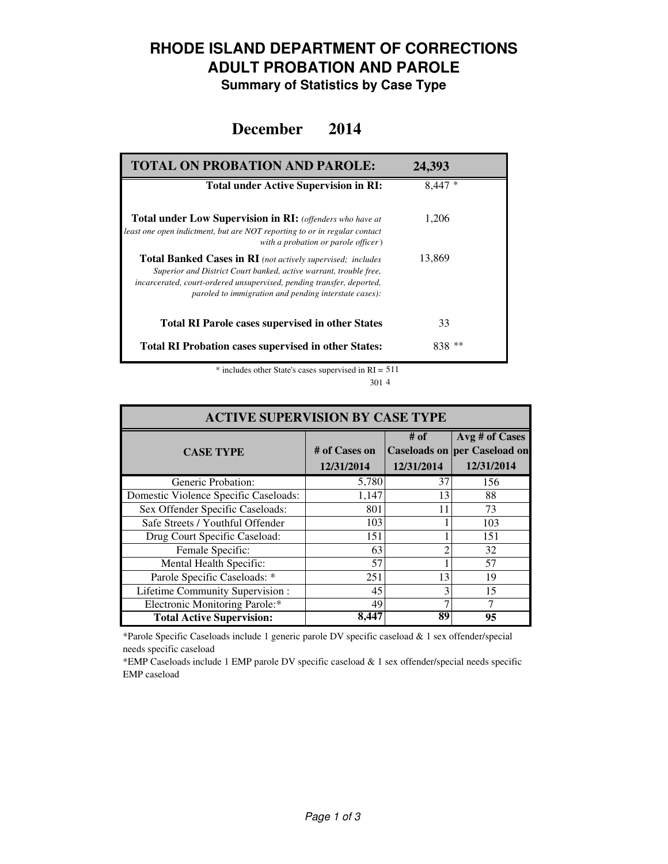### **RHODE ISLAND DEPARTMENT OF CORRECTIONS ADULT PROBATION AND PAROLE**

**Summary of Statistics by Case Type**

### **December 2014**

| <b>TOTAL ON PROBATION AND PAROLE:</b>                                                                                                                                                                                                                                     | 24,393    |
|---------------------------------------------------------------------------------------------------------------------------------------------------------------------------------------------------------------------------------------------------------------------------|-----------|
| <b>Total under Active Supervision in RI:</b>                                                                                                                                                                                                                              | $8,447*$  |
| <b>Total under Low Supervision in RI:</b> (offenders who have at<br>least one open indictment, but are NOT reporting to or in regular contact<br>with a probation or parole officer)                                                                                      | 1,206     |
| <b>Total Banked Cases in RI</b> (not actively supervised; includes<br>Superior and District Court banked, active warrant, trouble free,<br>incarcerated, court-ordered unsupervised, pending transfer, deported,<br>paroled to immigration and pending interstate cases): | 13,869    |
| <b>Total RI Parole cases supervised in other States</b>                                                                                                                                                                                                                   | 33        |
| <b>Total RI Probation cases supervised in other States:</b>                                                                                                                                                                                                               | ∗∗<br>838 |

\* includes other State's cases supervised in RI = 511 4 301

| <b>ACTIVE SUPERVISION BY CASE TYPE</b> |                             |                    |                                                                     |  |  |  |
|----------------------------------------|-----------------------------|--------------------|---------------------------------------------------------------------|--|--|--|
| <b>CASE TYPE</b>                       | # of Cases on<br>12/31/2014 | # of<br>12/31/2014 | Avg # of Cases<br><b>Caseloads on per Caseload on</b><br>12/31/2014 |  |  |  |
| Generic Probation:                     | 5,780                       | 37                 | 156                                                                 |  |  |  |
| Domestic Violence Specific Caseloads:  | 1,147                       | 13                 | 88                                                                  |  |  |  |
| Sex Offender Specific Caseloads:       | 801                         | 11                 | 73                                                                  |  |  |  |
| Safe Streets / Youthful Offender       | 103                         |                    | 103                                                                 |  |  |  |
| Drug Court Specific Caseload:          | 151                         |                    | 151                                                                 |  |  |  |
| Female Specific:                       | 63                          | ∍                  | 32                                                                  |  |  |  |
| Mental Health Specific:                | 57                          |                    | 57                                                                  |  |  |  |
| Parole Specific Caseloads: *           | 251                         | 13                 | 19                                                                  |  |  |  |
| Lifetime Community Supervision:        | 45                          | 3                  | 15                                                                  |  |  |  |
| Electronic Monitoring Parole:*         | 49                          |                    |                                                                     |  |  |  |
| <b>Total Active Supervision:</b>       | 8.447                       | 89                 | 95                                                                  |  |  |  |

\*Parole Specific Caseloads include 1 generic parole DV specific caseload & 1 sex offender/special needs specific caseload

\*EMP Caseloads include 1 EMP parole DV specific caseload & 1 sex offender/special needs specific EMP caseload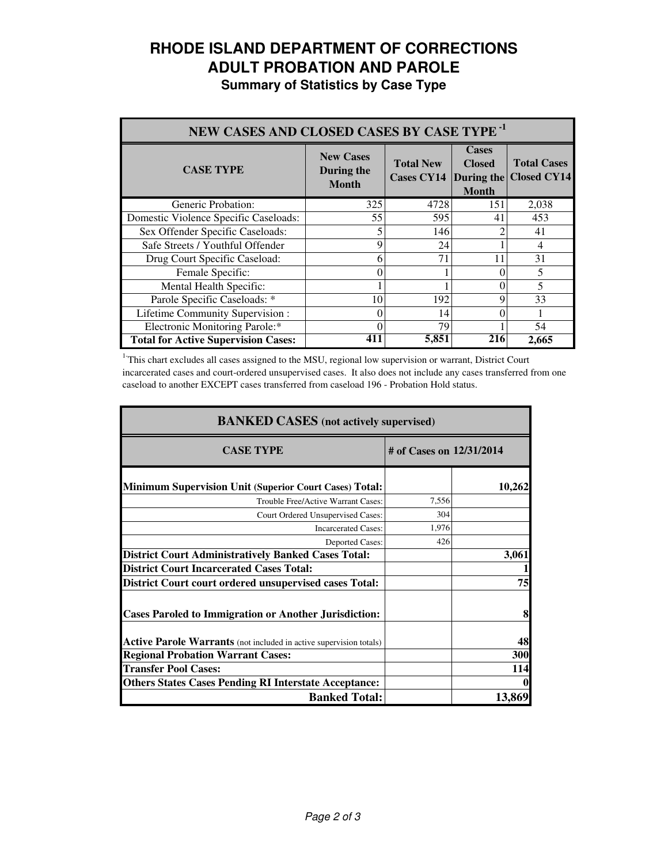# **RHODE ISLAND DEPARTMENT OF CORRECTIONS ADULT PROBATION AND PAROLE**

**Summary of Statistics by Case Type**

| NEW CASES AND CLOSED CASES BY CASE TYPE <sup>-1</sup> |                                                |                                       |                                                             |                                          |  |  |
|-------------------------------------------------------|------------------------------------------------|---------------------------------------|-------------------------------------------------------------|------------------------------------------|--|--|
| <b>CASE TYPE</b>                                      | <b>New Cases</b><br>During the<br><b>Month</b> | <b>Total New</b><br><b>Cases CY14</b> | <b>Cases</b><br><b>Closed</b><br>During the<br><b>Month</b> | <b>Total Cases</b><br><b>Closed CY14</b> |  |  |
| Generic Probation:                                    | 325                                            | 4728                                  | 151                                                         | 2,038                                    |  |  |
| Domestic Violence Specific Caseloads:                 | 55                                             | 595                                   | 41                                                          | 453                                      |  |  |
| Sex Offender Specific Caseloads:                      |                                                | 146                                   |                                                             | 41                                       |  |  |
| Safe Streets / Youthful Offender                      | 9                                              | 24                                    |                                                             | 4                                        |  |  |
| Drug Court Specific Caseload:                         | 6                                              | 71                                    | 11                                                          | 31                                       |  |  |
| Female Specific:                                      | $\theta$                                       |                                       |                                                             | 5                                        |  |  |
| Mental Health Specific:                               |                                                |                                       | 0                                                           | 5                                        |  |  |
| Parole Specific Caseloads: *                          | 10                                             | 192                                   | Q                                                           | 33                                       |  |  |
| Lifetime Community Supervision:                       | 0                                              | 14                                    |                                                             |                                          |  |  |
| Electronic Monitoring Parole:*                        | $\theta$                                       | 79                                    |                                                             | 54                                       |  |  |
| <b>Total for Active Supervision Cases:</b>            | 411                                            | 5,851                                 | 216                                                         | 2,665                                    |  |  |

<sup>1</sup>This chart excludes all cases assigned to the MSU, regional low supervision or warrant, District Court incarcerated cases and court-ordered unsupervised cases. It also does not include any cases transferred from one caseload to another EXCEPT cases transferred from caseload 196 - Probation Hold status.

| <b>BANKED CASES</b> (not actively supervised)                      |                          |        |  |  |
|--------------------------------------------------------------------|--------------------------|--------|--|--|
| <b>CASE TYPE</b>                                                   | # of Cases on 12/31/2014 |        |  |  |
| <b>Minimum Supervision Unit (Superior Court Cases) Total:</b>      |                          | 10,262 |  |  |
| Trouble Free/Active Warrant Cases:                                 | 7,556                    |        |  |  |
| Court Ordered Unsupervised Cases:                                  | 304                      |        |  |  |
| <b>Incarcerated Cases:</b>                                         | 1,976                    |        |  |  |
| <b>Deported Cases:</b>                                             | 426                      |        |  |  |
| <b>District Court Administratively Banked Cases Total:</b>         |                          | 3,061  |  |  |
| <b>District Court Incarcerated Cases Total:</b>                    |                          |        |  |  |
| <b>District Court court ordered unsupervised cases Total:</b>      |                          | 75     |  |  |
| <b>Cases Paroled to Immigration or Another Jurisdiction:</b>       |                          | 8      |  |  |
| Active Parole Warrants (not included in active supervision totals) |                          | 48     |  |  |
| <b>Regional Probation Warrant Cases:</b>                           |                          | 300    |  |  |
| <b>Transfer Pool Cases:</b>                                        |                          | 114    |  |  |
| <b>Others States Cases Pending RI Interstate Acceptance:</b>       |                          |        |  |  |
| <b>Banked Total:</b>                                               |                          | 13,869 |  |  |